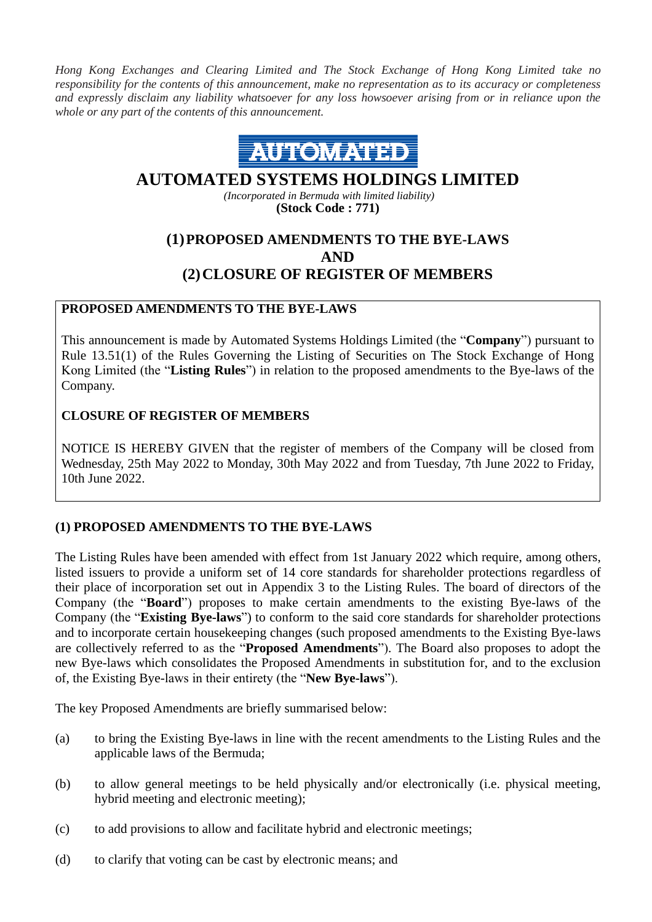*Hong Kong Exchanges and Clearing Limited and The Stock Exchange of Hong Kong Limited take no responsibility for the contents of this announcement, make no representation as to its accuracy or completeness and expressly disclaim any liability whatsoever for any loss howsoever arising from or in reliance upon the whole or any part of the contents of this announcement.*



# **AUTOMATED SYSTEMS HOLDINGS LIMITED**

*(Incorporated in Bermuda with limited liability)* **(Stock Code : 771)**

## **(1)PROPOSED AMENDMENTS TO THE BYE-LAWS AND (2)CLOSURE OF REGISTER OF MEMBERS**

### **PROPOSED AMENDMENTS TO THE BYE-LAWS**

This announcement is made by Automated Systems Holdings Limited (the "**Company**") pursuant to Rule 13.51(1) of the Rules Governing the Listing of Securities on The Stock Exchange of Hong Kong Limited (the "**Listing Rules**") in relation to the proposed amendments to the Bye-laws of the Company.

#### **CLOSURE OF REGISTER OF MEMBERS**

NOTICE IS HEREBY GIVEN that the register of members of the Company will be closed from Wednesday, 25th May 2022 to Monday, 30th May 2022 and from Tuesday, 7th June 2022 to Friday, 10th June 2022.

### **(1) PROPOSED AMENDMENTS TO THE BYE-LAWS**

The Listing Rules have been amended with effect from 1st January 2022 which require, among others, listed issuers to provide a uniform set of 14 core standards for shareholder protections regardless of their place of incorporation set out in Appendix 3 to the Listing Rules. The board of directors of the Company (the "**Board**") proposes to make certain amendments to the existing Bye-laws of the Company (the "**Existing Bye-laws**") to conform to the said core standards for shareholder protections and to incorporate certain housekeeping changes (such proposed amendments to the Existing Bye-laws are collectively referred to as the "**Proposed Amendments**"). The Board also proposes to adopt the new Bye-laws which consolidates the Proposed Amendments in substitution for, and to the exclusion of, the Existing Bye-laws in their entirety (the "**New Bye-laws**").

The key Proposed Amendments are briefly summarised below:

- (a) to bring the Existing Bye-laws in line with the recent amendments to the Listing Rules and the applicable laws of the Bermuda;
- (b) to allow general meetings to be held physically and/or electronically (i.e. physical meeting, hybrid meeting and electronic meeting);
- (c) to add provisions to allow and facilitate hybrid and electronic meetings;
- (d) to clarify that voting can be cast by electronic means; and